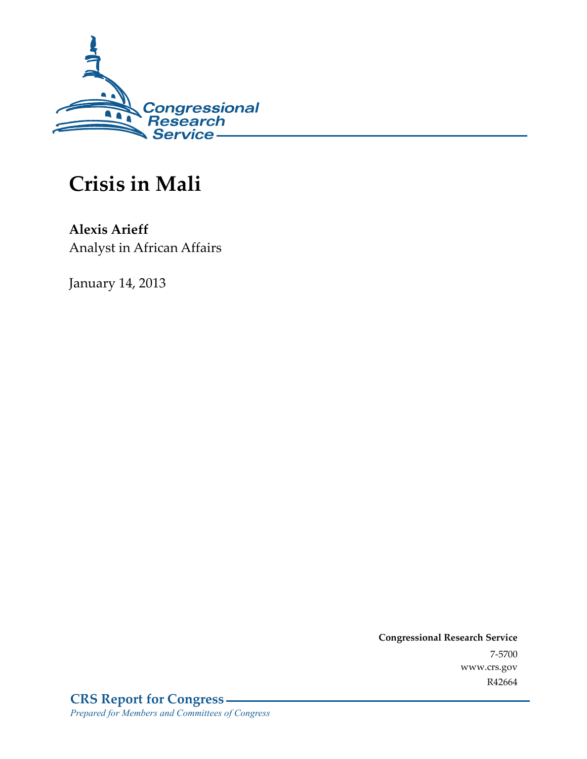

# **Crisis in Mali**

**Alexis Arieff**  Analyst in African Affairs

January 14, 2013

**Congressional Research Service**  7-5700 www.crs.gov R42664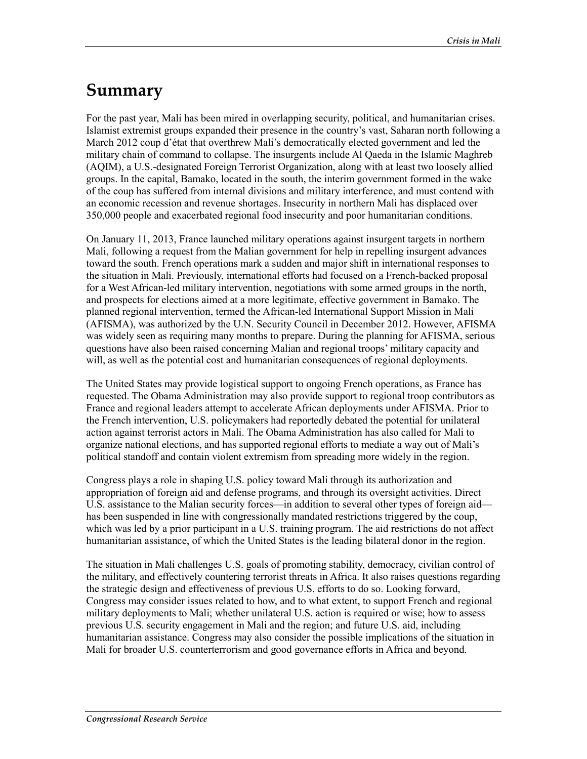## **Summary**

For the past year, Mali has been mired in overlapping security, political, and humanitarian crises. Islamist extremist groups expanded their presence in the country's vast, Saharan north following a March 2012 coup d'état that overthrew Mali's democratically elected government and led the military chain of command to collapse. The insurgents include Al Qaeda in the Islamic Maghreb (AQIM), a U.S.-designated Foreign Terrorist Organization, along with at least two loosely allied groups. In the capital, Bamako, located in the south, the interim government formed in the wake of the coup has suffered from internal divisions and military interference, and must contend with an economic recession and revenue shortages. Insecurity in northern Mali has displaced over 350,000 people and exacerbated regional food insecurity and poor humanitarian conditions.

On January 11, 2013, France launched military operations against insurgent targets in northern Mali, following a request from the Malian government for help in repelling insurgent advances toward the south. French operations mark a sudden and major shift in international responses to the situation in Mali. Previously, international efforts had focused on a French-backed proposal for a West African-led military intervention, negotiations with some armed groups in the north, and prospects for elections aimed at a more legitimate, effective government in Bamako. The planned regional intervention, termed the African-led International Support Mission in Mali (AFISMA), was authorized by the U.N. Security Council in December 2012. However, AFISMA was widely seen as requiring many months to prepare. During the planning for AFISMA, serious questions have also been raised concerning Malian and regional troops' military capacity and will, as well as the potential cost and humanitarian consequences of regional deployments.

The United States may provide logistical support to ongoing French operations, as France has requested. The Obama Administration may also provide support to regional troop contributors as France and regional leaders attempt to accelerate African deployments under AFISMA. Prior to the French intervention, U.S. policymakers had reportedly debated the potential for unilateral action against terrorist actors in Mali. The Obama Administration has also called for Mali to organize national elections, and has supported regional efforts to mediate a way out of Mali's political standoff and contain violent extremism from spreading more widely in the region.

Congress plays a role in shaping U.S. policy toward Mali through its authorization and appropriation of foreign aid and defense programs, and through its oversight activities. Direct U.S. assistance to the Malian security forces—in addition to several other types of foreign aid has been suspended in line with congressionally mandated restrictions triggered by the coup, which was led by a prior participant in a U.S. training program. The aid restrictions do not affect humanitarian assistance, of which the United States is the leading bilateral donor in the region.

The situation in Mali challenges U.S. goals of promoting stability, democracy, civilian control of the military, and effectively countering terrorist threats in Africa. It also raises questions regarding the strategic design and effectiveness of previous U.S. efforts to do so. Looking forward, Congress may consider issues related to how, and to what extent, to support French and regional military deployments to Mali; whether unilateral U.S. action is required or wise; how to assess previous U.S. security engagement in Mali and the region; and future U.S. aid, including humanitarian assistance. Congress may also consider the possible implications of the situation in Mali for broader U.S. counterterrorism and good governance efforts in Africa and beyond.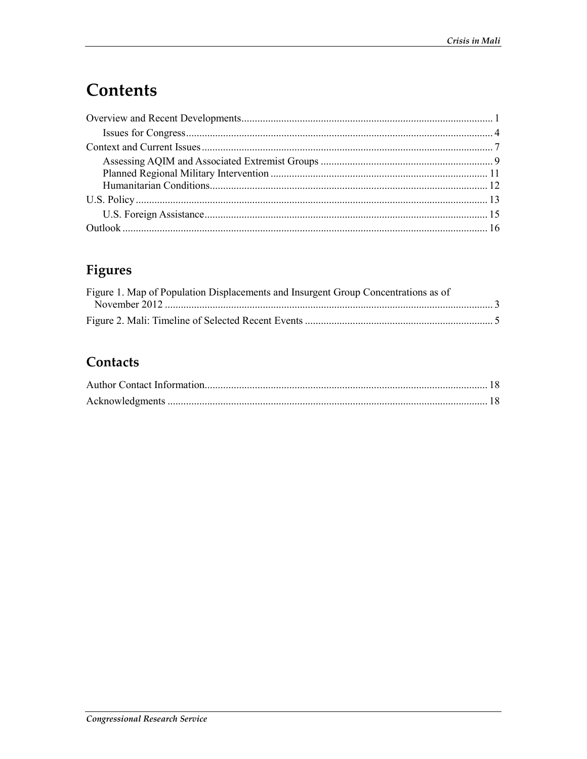## Contents

## Figures

| Figure 1. Map of Population Displacements and Insurgent Group Concentrations as of |  |
|------------------------------------------------------------------------------------|--|
|                                                                                    |  |
|                                                                                    |  |

## Contacts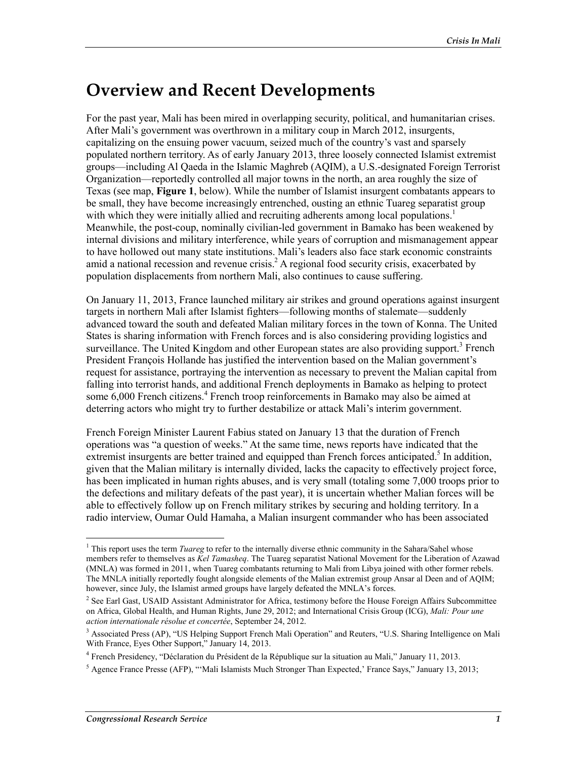## **Overview and Recent Developments**

For the past year, Mali has been mired in overlapping security, political, and humanitarian crises. After Mali's government was overthrown in a military coup in March 2012, insurgents, capitalizing on the ensuing power vacuum, seized much of the country's vast and sparsely populated northern territory. As of early January 2013, three loosely connected Islamist extremist groups—including Al Qaeda in the Islamic Maghreb (AQIM), a U.S.-designated Foreign Terrorist Organization—reportedly controlled all major towns in the north, an area roughly the size of Texas (see map, **Figure 1**, below). While the number of Islamist insurgent combatants appears to be small, they have become increasingly entrenched, ousting an ethnic Tuareg separatist group with which they were initially allied and recruiting adherents among local populations.<sup>1</sup> Meanwhile, the post-coup, nominally civilian-led government in Bamako has been weakened by internal divisions and military interference, while years of corruption and mismanagement appear to have hollowed out many state institutions. Mali's leaders also face stark economic constraints amid a national recession and revenue crisis.<sup>2</sup> A regional food security crisis, exacerbated by population displacements from northern Mali, also continues to cause suffering.

On January 11, 2013, France launched military air strikes and ground operations against insurgent targets in northern Mali after Islamist fighters—following months of stalemate—suddenly advanced toward the south and defeated Malian military forces in the town of Konna. The United States is sharing information with French forces and is also considering providing logistics and surveillance. The United Kingdom and other European states are also providing support.<sup>3</sup> French President François Hollande has justified the intervention based on the Malian government's request for assistance, portraying the intervention as necessary to prevent the Malian capital from falling into terrorist hands, and additional French deployments in Bamako as helping to protect some 6,000 French citizens.<sup>4</sup> French troop reinforcements in Bamako may also be aimed at deterring actors who might try to further destabilize or attack Mali's interim government.

French Foreign Minister Laurent Fabius stated on January 13 that the duration of French operations was "a question of weeks." At the same time, news reports have indicated that the extremist insurgents are better trained and equipped than French forces anticipated.<sup>5</sup> In addition, given that the Malian military is internally divided, lacks the capacity to effectively project force, has been implicated in human rights abuses, and is very small (totaling some 7,000 troops prior to the defections and military defeats of the past year), it is uncertain whether Malian forces will be able to effectively follow up on French military strikes by securing and holding territory. In a radio interview, Oumar Ould Hamaha, a Malian insurgent commander who has been associated

<sup>&</sup>lt;sup>1</sup> This report uses the term *Tuareg* to refer to the internally diverse ethnic community in the Sahara/Sahel whose members refer to themselves as *Kel Tamasheq*. The Tuareg separatist National Movement for the Liberation of Azawad (MNLA) was formed in 2011, when Tuareg combatants returning to Mali from Libya joined with other former rebels. The MNLA initially reportedly fought alongside elements of the Malian extremist group Ansar al Deen and of AQIM; however, since July, the Islamist armed groups have largely defeated the MNLA's forces.

<sup>&</sup>lt;sup>2</sup> See Earl Gast, USAID Assistant Administrator for Africa, testimony before the House Foreign Affairs Subcommittee on Africa, Global Health, and Human Rights, June 29, 2012; and International Crisis Group (ICG), *Mali: Pour une action internationale résolue et concertée*, September 24, 2012.

<sup>&</sup>lt;sup>3</sup> Associated Press (AP), "US Helping Support French Mali Operation" and Reuters, "U.S. Sharing Intelligence on Mali With France, Eyes Other Support," January 14, 2013.

<sup>4</sup> French Presidency, "Déclaration du Président de la République sur la situation au Mali," January 11, 2013.

<sup>&</sup>lt;sup>5</sup> Agence France Presse (AFP), "'Mali Islamists Much Stronger Than Expected,' France Says," January 13, 2013;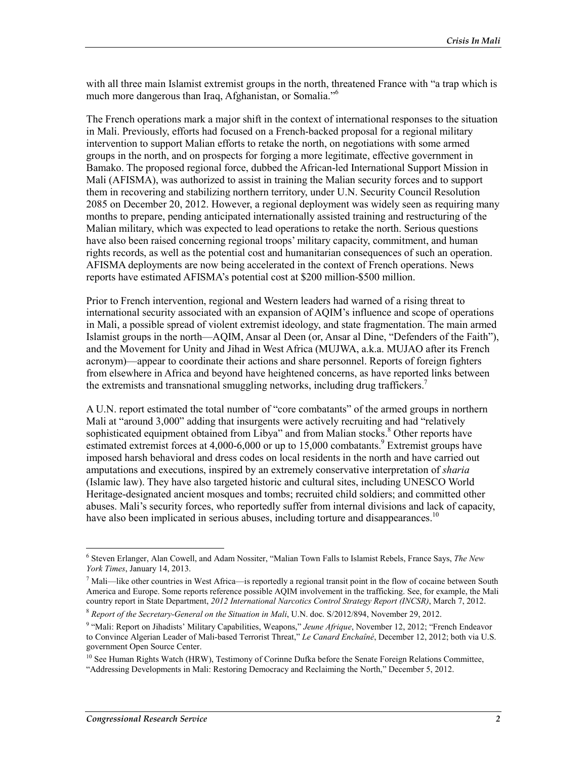with all three main Islamist extremist groups in the north, threatened France with "a trap which is much more dangerous than Iraq, Afghanistan, or Somalia."6

The French operations mark a major shift in the context of international responses to the situation in Mali. Previously, efforts had focused on a French-backed proposal for a regional military intervention to support Malian efforts to retake the north, on negotiations with some armed groups in the north, and on prospects for forging a more legitimate, effective government in Bamako. The proposed regional force, dubbed the African-led International Support Mission in Mali (AFISMA), was authorized to assist in training the Malian security forces and to support them in recovering and stabilizing northern territory, under U.N. Security Council Resolution 2085 on December 20, 2012. However, a regional deployment was widely seen as requiring many months to prepare, pending anticipated internationally assisted training and restructuring of the Malian military, which was expected to lead operations to retake the north. Serious questions have also been raised concerning regional troops' military capacity, commitment, and human rights records, as well as the potential cost and humanitarian consequences of such an operation. AFISMA deployments are now being accelerated in the context of French operations. News reports have estimated AFISMA's potential cost at \$200 million-\$500 million.

Prior to French intervention, regional and Western leaders had warned of a rising threat to international security associated with an expansion of AQIM's influence and scope of operations in Mali, a possible spread of violent extremist ideology, and state fragmentation. The main armed Islamist groups in the north—AQIM, Ansar al Deen (or, Ansar al Dine, "Defenders of the Faith"), and the Movement for Unity and Jihad in West Africa (MUJWA, a.k.a. MUJAO after its French acronym)—appear to coordinate their actions and share personnel. Reports of foreign fighters from elsewhere in Africa and beyond have heightened concerns, as have reported links between the extremists and transnational smuggling networks, including drug traffickers.<sup>7</sup>

A U.N. report estimated the total number of "core combatants" of the armed groups in northern Mali at "around 3,000" adding that insurgents were actively recruiting and had "relatively sophisticated equipment obtained from Libya" and from Malian stocks.<sup>8</sup> Other reports have estimated extremist forces at 4,000-6,000 or up to 15,000 combatants.<sup>9</sup> Extremist groups have imposed harsh behavioral and dress codes on local residents in the north and have carried out amputations and executions, inspired by an extremely conservative interpretation of *sharia* (Islamic law). They have also targeted historic and cultural sites, including UNESCO World Heritage-designated ancient mosques and tombs; recruited child soldiers; and committed other abuses. Mali's security forces, who reportedly suffer from internal divisions and lack of capacity, have also been implicated in serious abuses, including torture and disappearances.<sup>10</sup>

<u>.</u>

<sup>6</sup> Steven Erlanger, Alan Cowell, and Adam Nossiter, "Malian Town Falls to Islamist Rebels, France Says, *The New York Times*, January 14, 2013.

 $<sup>7</sup>$  Mali—like other countries in West Africa—is reportedly a regional transit point in the flow of cocaine between South</sup> America and Europe. Some reports reference possible AQIM involvement in the trafficking. See, for example, the Mali country report in State Department, *2012 International Narcotics Control Strategy Report (INCSR)*, March 7, 2012.

<sup>8</sup> *Report of the Secretary-General on the Situation in Mali*, U.N. doc. S/2012/894, November 29, 2012.

<sup>&</sup>lt;sup>9</sup> "Mali: Report on Jihadists' Military Capabilities, Weapons," Jeune Afrique, November 12, 2012; "French Endeavor to Convince Algerian Leader of Mali-based Terrorist Threat," *Le Canard Enchaîné*, December 12, 2012; both via U.S. government Open Source Center.

<sup>&</sup>lt;sup>10</sup> See Human Rights Watch (HRW), Testimony of Corinne Dufka before the Senate Foreign Relations Committee, "Addressing Developments in Mali: Restoring Democracy and Reclaiming the North," December 5, 2012.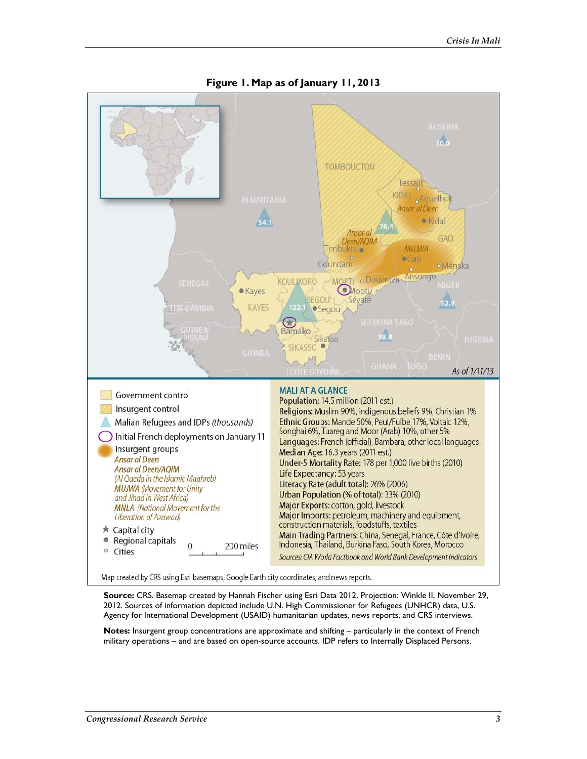

**Figure 1. Map as of January 11, 2013** 

Map created by CRS using Esri basemaps, Google Earth city coordinates, and news reports.

**Source:** CRS. Basemap created by Hannah Fischer using Esri Data 2012. Projection: Winkle II, November 29, 2012. Sources of information depicted include U.N. High Commissioner for Refugees (UNHCR) data, U.S. Agency for International Development (USAID) humanitarian updates, news reports, and CRS interviews.

**Notes:** Insurgent group concentrations are approximate and shifting – particularly in the context of French military operations – and are based on open-source accounts. IDP refers to Internally Displaced Persons.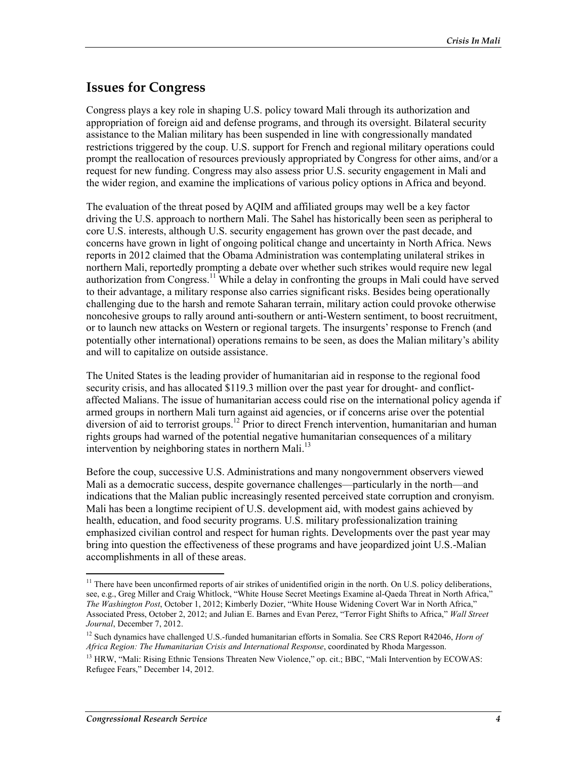### **Issues for Congress**

Congress plays a key role in shaping U.S. policy toward Mali through its authorization and appropriation of foreign aid and defense programs, and through its oversight. Bilateral security assistance to the Malian military has been suspended in line with congressionally mandated restrictions triggered by the coup. U.S. support for French and regional military operations could prompt the reallocation of resources previously appropriated by Congress for other aims, and/or a request for new funding. Congress may also assess prior U.S. security engagement in Mali and the wider region, and examine the implications of various policy options in Africa and beyond.

The evaluation of the threat posed by AQIM and affiliated groups may well be a key factor driving the U.S. approach to northern Mali. The Sahel has historically been seen as peripheral to core U.S. interests, although U.S. security engagement has grown over the past decade, and concerns have grown in light of ongoing political change and uncertainty in North Africa. News reports in 2012 claimed that the Obama Administration was contemplating unilateral strikes in northern Mali, reportedly prompting a debate over whether such strikes would require new legal authorization from Congress.<sup>11</sup> While a delay in confronting the groups in Mali could have served to their advantage, a military response also carries significant risks. Besides being operationally challenging due to the harsh and remote Saharan terrain, military action could provoke otherwise noncohesive groups to rally around anti-southern or anti-Western sentiment, to boost recruitment, or to launch new attacks on Western or regional targets. The insurgents' response to French (and potentially other international) operations remains to be seen, as does the Malian military's ability and will to capitalize on outside assistance.

The United States is the leading provider of humanitarian aid in response to the regional food security crisis, and has allocated \$119.3 million over the past year for drought- and conflictaffected Malians. The issue of humanitarian access could rise on the international policy agenda if armed groups in northern Mali turn against aid agencies, or if concerns arise over the potential diversion of aid to terrorist groups.<sup>12</sup> Prior to direct French intervention, humanitarian and human rights groups had warned of the potential negative humanitarian consequences of a military intervention by neighboring states in northern Mali.<sup>13</sup>

Before the coup, successive U.S. Administrations and many nongovernment observers viewed Mali as a democratic success, despite governance challenges—particularly in the north—and indications that the Malian public increasingly resented perceived state corruption and cronyism. Mali has been a longtime recipient of U.S. development aid, with modest gains achieved by health, education, and food security programs. U.S. military professionalization training emphasized civilian control and respect for human rights. Developments over the past year may bring into question the effectiveness of these programs and have jeopardized joint U.S.-Malian accomplishments in all of these areas.

<sup>&</sup>lt;sup>11</sup> There have been unconfirmed reports of air strikes of unidentified origin in the north. On U.S. policy deliberations, see, e.g., Greg Miller and Craig Whitlock, "White House Secret Meetings Examine al-Qaeda Threat in North Africa," *The Washington Post*, October 1, 2012; Kimberly Dozier, "White House Widening Covert War in North Africa," Associated Press, October 2, 2012; and Julian E. Barnes and Evan Perez, "Terror Fight Shifts to Africa," *Wall Street Journal*, December 7, 2012.

<sup>12</sup> Such dynamics have challenged U.S.-funded humanitarian efforts in Somalia. See CRS Report R42046, *Horn of Africa Region: The Humanitarian Crisis and International Response*, coordinated by Rhoda Margesson.

<sup>&</sup>lt;sup>13</sup> HRW, "Mali: Rising Ethnic Tensions Threaten New Violence," op. cit.; BBC, "Mali Intervention by ECOWAS: Refugee Fears," December 14, 2012.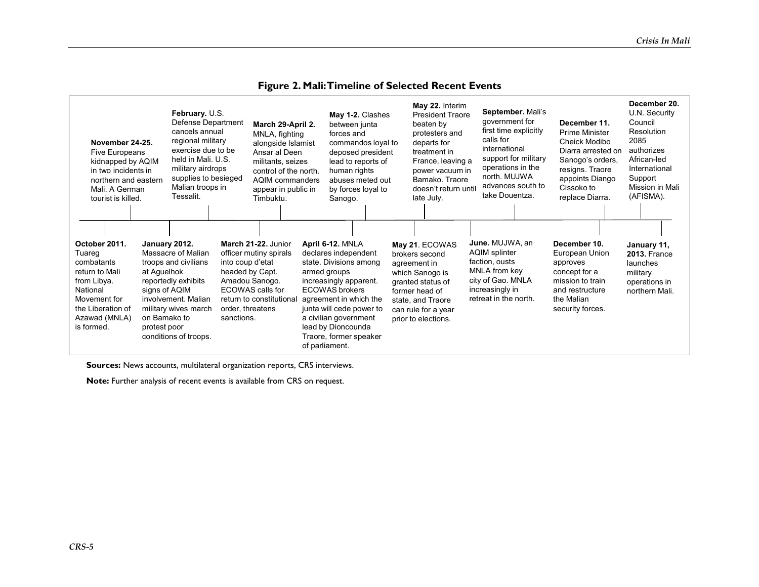| November 24-25.<br>Five Europeans<br>kidnapped by AQIM<br>in two incidents in<br>northern and eastern<br>Mali. A German<br>tourist is killed.          |                                                                               | February. U.S.<br>Defense Department<br>cancels annual<br>regional military<br>exercise due to be<br>held in Mali. U.S.<br>military airdrops<br>supplies to besieged<br>Malian troops in<br>Tessalit. |                                                                       | March 29-April 2.<br>MNLA, fighting<br>alongside Islamist<br>Ansar al Deen<br>militants, seizes<br>control of the north.<br><b>AQIM</b> commanders<br>appear in public in<br>Timbuktu. | May 1-2. Clashes<br>between junta<br>forces and<br>deposed president<br>lead to reports of<br>human rights<br>abuses meted out<br>by forces loyal to<br>Sanogo.                                                                                                                 | commandos loyal to | May 22. Interim<br><b>President Traore</b><br>beaten by<br>protesters and<br>departs for<br>treatment in<br>France, leaving a<br>power vacuum in<br>Bamako, Traore<br>doesn't return until<br>late July. | September. Mali's<br>government for<br>first time explicitly<br>calls for<br>international<br>support for military<br>operations in the<br>north. MUJWA<br>advances south to<br>take Douentza. | December 11.<br>Prime Minister<br>Cheick Modibo<br>Diarra arrested on<br>Sanogo's orders,<br>resigns. Traore<br>appoints Diango<br>Cissoko to<br>replace Diarra. | December 20.<br>U.N. Security<br>Council<br>Resolution<br>2085<br>authorizes<br>African-led<br>International<br>Support<br>Mission in Mali<br>(AFISMA). |
|--------------------------------------------------------------------------------------------------------------------------------------------------------|-------------------------------------------------------------------------------|-------------------------------------------------------------------------------------------------------------------------------------------------------------------------------------------------------|-----------------------------------------------------------------------|----------------------------------------------------------------------------------------------------------------------------------------------------------------------------------------|---------------------------------------------------------------------------------------------------------------------------------------------------------------------------------------------------------------------------------------------------------------------------------|--------------------|----------------------------------------------------------------------------------------------------------------------------------------------------------------------------------------------------------|------------------------------------------------------------------------------------------------------------------------------------------------------------------------------------------------|------------------------------------------------------------------------------------------------------------------------------------------------------------------|---------------------------------------------------------------------------------------------------------------------------------------------------------|
| October 2011.<br>Tuareg<br>combatants<br>return to Mali<br>from Libya.<br>National<br>Movement for<br>the Liberation of<br>Azawad (MNLA)<br>is formed. | January 2012.<br>at Aguelhok<br>signs of AQIM<br>on Bamako to<br>protest poor | Massacre of Malian<br>troops and civilians<br>reportedly exhibits<br>involvement. Malian<br>military wives march<br>conditions of troops.                                                             | into coup d'etat<br>headed by Capt.<br>order, threatens<br>sanctions. | March 21-22. Junior<br>officer mutiny spirals<br>Amadou Sanogo.<br>ECOWAS calls for<br>return to constitutional                                                                        | April 6-12. MNLA<br>declares independent<br>state. Divisions among<br>armed groups<br>increasingly apparent.<br>ECOWAS brokers<br>agreement in which the<br>junta will cede power to<br>a civilian government<br>lead by Dioncounda<br>Traore, former speaker<br>of parliament. |                    | May 21. ECOWAS<br>brokers second<br>agreement in<br>which Sanogo is<br>granted status of<br>former head of<br>state, and Traore<br>can rule for a year<br>prior to elections.                            | June. MUJWA, an<br><b>AQIM splinter</b><br>faction, ousts<br>MNLA from key<br>city of Gao. MNLA<br>increasingly in<br>retreat in the north.                                                    | December 10.<br>European Union<br>approves<br>concept for a<br>mission to train<br>and restructure<br>the Malian<br>security forces.                             | January 11,<br><b>2013. France</b><br>launches<br>military<br>operations in<br>northern Mali.                                                           |

#### **Figure 2. Mali: Timeline of Selected Recent Events**

**Sources:** News accounts, multilateral organization reports, CRS interviews.

**Note:** Further analysis of recent events is available from CRS on request.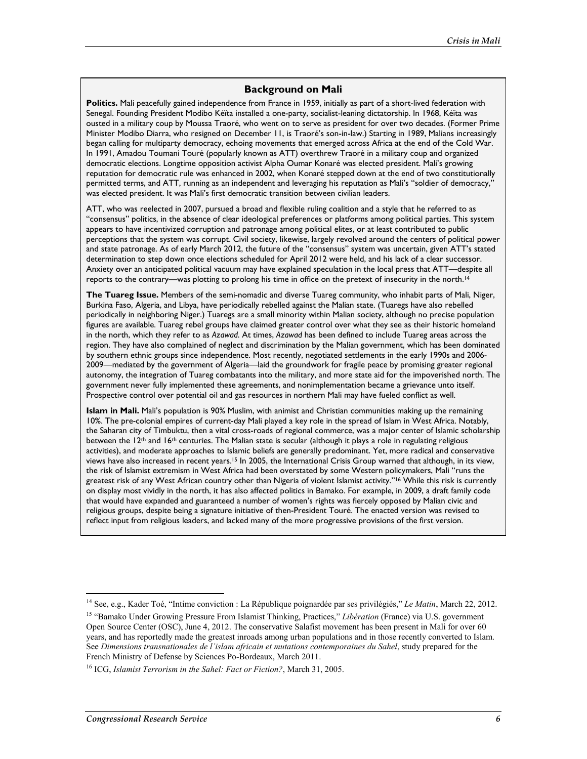#### **Background on Mali**

**Politics.** Mali peacefully gained independence from France in 1959, initially as part of a short-lived federation with Senegal. Founding President Modibo Kéïta installed a one-party, socialist-leaning dictatorship. In 1968, Kéïta was ousted in a military coup by Moussa Traoré, who went on to serve as president for over two decades. (Former Prime Minister Modibo Diarra, who resigned on December 11, is Traoré's son-in-law.) Starting in 1989, Malians increasingly began calling for multiparty democracy, echoing movements that emerged across Africa at the end of the Cold War. In 1991, Amadou Toumani Touré (popularly known as ATT) overthrew Traoré in a military coup and organized democratic elections. Longtime opposition activist Alpha Oumar Konaré was elected president. Mali's growing reputation for democratic rule was enhanced in 2002, when Konaré stepped down at the end of two constitutionally permitted terms, and ATT, running as an independent and leveraging his reputation as Mali's "soldier of democracy," was elected president. It was Mali's first democratic transition between civilian leaders.

ATT, who was reelected in 2007, pursued a broad and flexible ruling coalition and a style that he referred to as "consensus" politics, in the absence of clear ideological preferences or platforms among political parties. This system appears to have incentivized corruption and patronage among political elites, or at least contributed to public perceptions that the system was corrupt. Civil society, likewise, largely revolved around the centers of political power and state patronage. As of early March 2012, the future of the "consensus" system was uncertain, given ATT's stated determination to step down once elections scheduled for April 2012 were held, and his lack of a clear successor. Anxiety over an anticipated political vacuum may have explained speculation in the local press that ATT—despite all reports to the contrary—was plotting to prolong his time in office on the pretext of insecurity in the north.<sup>14</sup>

**The Tuareg Issue.** Members of the semi-nomadic and diverse Tuareg community, who inhabit parts of Mali, Niger, Burkina Faso, Algeria, and Libya, have periodically rebelled against the Malian state. (Tuaregs have also rebelled periodically in neighboring Niger.) Tuaregs are a small minority within Malian society, although no precise population figures are available. Tuareg rebel groups have claimed greater control over what they see as their historic homeland in the north, which they refer to as *Azawad*. At times, *Azawad* has been defined to include Tuareg areas across the region. They have also complained of neglect and discrimination by the Malian government, which has been dominated by southern ethnic groups since independence. Most recently, negotiated settlements in the early 1990s and 2006- 2009—mediated by the government of Algeria—laid the groundwork for fragile peace by promising greater regional autonomy, the integration of Tuareg combatants into the military, and more state aid for the impoverished north. The government never fully implemented these agreements, and nonimplementation became a grievance unto itself. Prospective control over potential oil and gas resources in northern Mali may have fueled conflict as well.

**Islam in Mali.** Mali's population is 90% Muslim, with animist and Christian communities making up the remaining 10%. The pre-colonial empires of current-day Mali played a key role in the spread of Islam in West Africa. Notably, the Saharan city of Timbuktu, then a vital cross-roads of regional commerce, was a major center of Islamic scholarship between the 12th and 16th centuries. The Malian state is secular (although it plays a role in regulating religious activities), and moderate approaches to Islamic beliefs are generally predominant. Yet, more radical and conservative views have also increased in recent years.<sup>15</sup> In 2005, the International Crisis Group warned that although, in its view, the risk of Islamist extremism in West Africa had been overstated by some Western policymakers, Mali "runs the greatest risk of any West African country other than Nigeria of violent Islamist activity."<sup>16</sup> While this risk is currently on display most vividly in the north, it has also affected politics in Bamako. For example, in 2009, a draft family code that would have expanded and guaranteed a number of women's rights was fiercely opposed by Malian civic and religious groups, despite being a signature initiative of then-President Touré. The enacted version was revised to reflect input from religious leaders, and lacked many of the more progressive provisions of the first version.

<sup>14</sup> See, e.g., Kader Toé, "Intime conviction : La République poignardée par ses privilégiés," *Le Matin*, March 22, 2012.

<sup>15 &</sup>quot;Bamako Under Growing Pressure From Islamist Thinking, Practices," *Libération* (France) via U.S. government Open Source Center (OSC), June 4, 2012. The conservative Salafist movement has been present in Mali for over 60 years, and has reportedly made the greatest inroads among urban populations and in those recently converted to Islam. See *Dimensions transnationales de l'islam africain et mutations contemporaines du Sahel*, study prepared for the French Ministry of Defense by Sciences Po-Bordeaux, March 2011.

<sup>16</sup> ICG, *Islamist Terrorism in the Sahel: Fact or Fiction?*, March 31, 2005.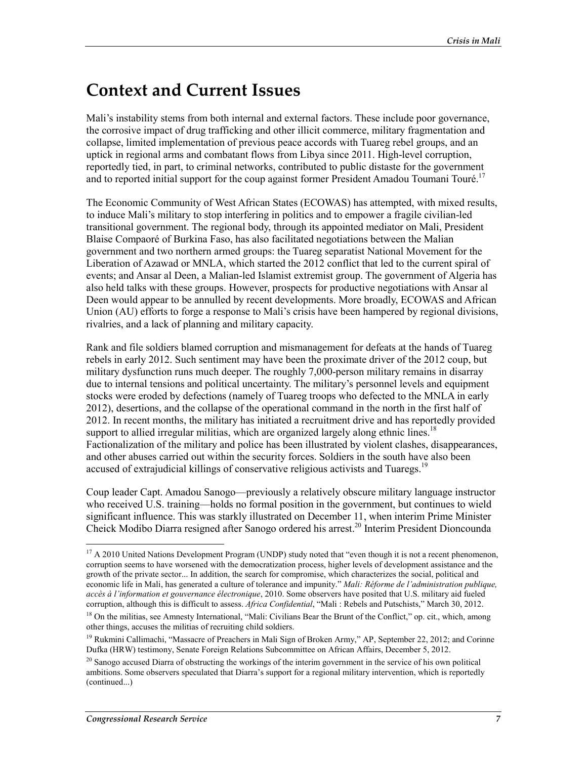## **Context and Current Issues**

Mali's instability stems from both internal and external factors. These include poor governance, the corrosive impact of drug trafficking and other illicit commerce, military fragmentation and collapse, limited implementation of previous peace accords with Tuareg rebel groups, and an uptick in regional arms and combatant flows from Libya since 2011. High-level corruption, reportedly tied, in part, to criminal networks, contributed to public distaste for the government and to reported initial support for the coup against former President Amadou Toumani Touré.<sup>17</sup>

The Economic Community of West African States (ECOWAS) has attempted, with mixed results, to induce Mali's military to stop interfering in politics and to empower a fragile civilian-led transitional government. The regional body, through its appointed mediator on Mali, President Blaise Compaoré of Burkina Faso, has also facilitated negotiations between the Malian government and two northern armed groups: the Tuareg separatist National Movement for the Liberation of Azawad or MNLA, which started the 2012 conflict that led to the current spiral of events; and Ansar al Deen, a Malian-led Islamist extremist group. The government of Algeria has also held talks with these groups. However, prospects for productive negotiations with Ansar al Deen would appear to be annulled by recent developments. More broadly, ECOWAS and African Union (AU) efforts to forge a response to Mali's crisis have been hampered by regional divisions, rivalries, and a lack of planning and military capacity.

Rank and file soldiers blamed corruption and mismanagement for defeats at the hands of Tuareg rebels in early 2012. Such sentiment may have been the proximate driver of the 2012 coup, but military dysfunction runs much deeper. The roughly 7,000-person military remains in disarray due to internal tensions and political uncertainty. The military's personnel levels and equipment stocks were eroded by defections (namely of Tuareg troops who defected to the MNLA in early 2012), desertions, and the collapse of the operational command in the north in the first half of 2012. In recent months, the military has initiated a recruitment drive and has reportedly provided support to allied irregular militias, which are organized largely along ethnic lines.<sup>18</sup> Factionalization of the military and police has been illustrated by violent clashes, disappearances, and other abuses carried out within the security forces. Soldiers in the south have also been accused of extrajudicial killings of conservative religious activists and Tuaregs.<sup>19</sup>

Coup leader Capt. Amadou Sanogo—previously a relatively obscure military language instructor who received U.S. training—holds no formal position in the government, but continues to wield significant influence. This was starkly illustrated on December 11, when interim Prime Minister Cheick Modibo Diarra resigned after Sanogo ordered his arrest.<sup>20</sup> Interim President Dioncounda

 $17$  A 2010 United Nations Development Program (UNDP) study noted that "even though it is not a recent phenomenon, corruption seems to have worsened with the democratization process, higher levels of development assistance and the growth of the private sector... In addition, the search for compromise, which characterizes the social, political and economic life in Mali, has generated a culture of tolerance and impunity." *Mali: Réforme de l'administration publique, accès à l'information et gouvernance électronique*, 2010. Some observers have posited that U.S. military aid fueled corruption, although this is difficult to assess. *Africa Confidential*, "Mali : Rebels and Putschists," March 30, 2012.

<sup>&</sup>lt;sup>18</sup> On the militias, see Amnesty International, "Mali: Civilians Bear the Brunt of the Conflict," op. cit., which, among other things, accuses the militias of recruiting child soldiers.

<sup>&</sup>lt;sup>19</sup> Rukmini Callimachi, "Massacre of Preachers in Mali Sign of Broken Army," AP, September 22, 2012; and Corinne Dufka (HRW) testimony, Senate Foreign Relations Subcommittee on African Affairs, December 5, 2012.

 $^{20}$  Sanogo accused Diarra of obstructing the workings of the interim government in the service of his own political ambitions. Some observers speculated that Diarra's support for a regional military intervention, which is reportedly (continued...)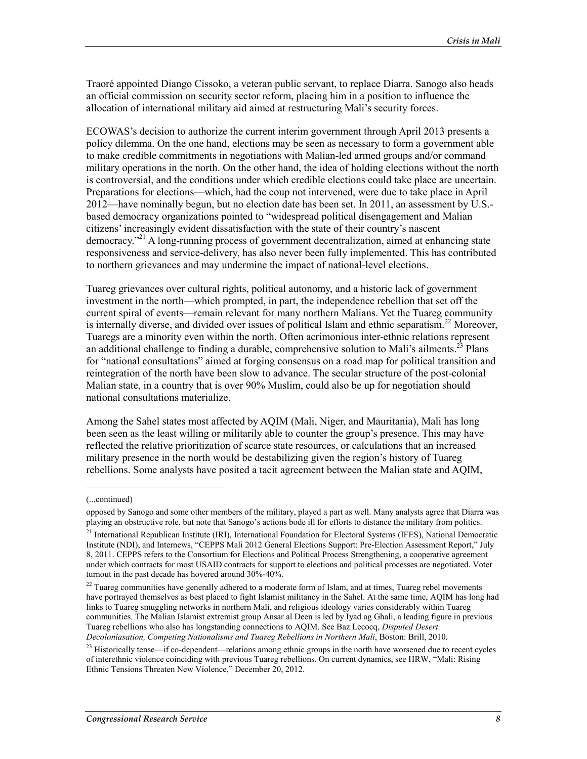Traoré appointed Diango Cissoko, a veteran public servant, to replace Diarra. Sanogo also heads an official commission on security sector reform, placing him in a position to influence the allocation of international military aid aimed at restructuring Mali's security forces.

ECOWAS's decision to authorize the current interim government through April 2013 presents a policy dilemma. On the one hand, elections may be seen as necessary to form a government able to make credible commitments in negotiations with Malian-led armed groups and/or command military operations in the north. On the other hand, the idea of holding elections without the north is controversial, and the conditions under which credible elections could take place are uncertain. Preparations for elections—which, had the coup not intervened, were due to take place in April 2012—have nominally begun, but no election date has been set. In 2011, an assessment by U.S. based democracy organizations pointed to "widespread political disengagement and Malian citizens' increasingly evident dissatisfaction with the state of their country's nascent democracy."21 A long-running process of government decentralization, aimed at enhancing state responsiveness and service-delivery, has also never been fully implemented. This has contributed to northern grievances and may undermine the impact of national-level elections.

Tuareg grievances over cultural rights, political autonomy, and a historic lack of government investment in the north—which prompted, in part, the independence rebellion that set off the current spiral of events—remain relevant for many northern Malians. Yet the Tuareg community is internally diverse, and divided over issues of political Islam and ethnic separatism.<sup>22</sup> Moreover, Tuaregs are a minority even within the north. Often acrimonious inter-ethnic relations represent an additional challenge to finding a durable, comprehensive solution to Mali's ailments.<sup>23</sup> Plans for "national consultations" aimed at forging consensus on a road map for political transition and reintegration of the north have been slow to advance. The secular structure of the post-colonial Malian state, in a country that is over 90% Muslim, could also be up for negotiation should national consultations materialize.

Among the Sahel states most affected by AQIM (Mali, Niger, and Mauritania), Mali has long been seen as the least willing or militarily able to counter the group's presence. This may have reflected the relative prioritization of scarce state resources, or calculations that an increased military presence in the north would be destabilizing given the region's history of Tuareg rebellions. Some analysts have posited a tacit agreement between the Malian state and AQIM,

 $\overline{\phantom{a}}$ 

<sup>(...</sup>continued)

opposed by Sanogo and some other members of the military, played a part as well. Many analysts agree that Diarra was playing an obstructive role, but note that Sanogo's actions bode ill for efforts to distance the military from politics.

<sup>&</sup>lt;sup>21</sup> International Republican Institute (IRI), International Foundation for Electoral Systems (IFES), National Democratic Institute (NDI), and Internews, "CEPPS Mali 2012 General Elections Support: Pre-Election Assessment Report," July 8, 2011. CEPPS refers to the Consortium for Elections and Political Process Strengthening, a cooperative agreement under which contracts for most USAID contracts for support to elections and political processes are negotiated. Voter turnout in the past decade has hovered around 30%-40%.

 $22$  Tuareg communities have generally adhered to a moderate form of Islam, and at times, Tuareg rebel movements have portrayed themselves as best placed to fight Islamist militancy in the Sahel. At the same time, AQIM has long had links to Tuareg smuggling networks in northern Mali, and religious ideology varies considerably within Tuareg communities. The Malian Islamist extremist group Ansar al Deen is led by Iyad ag Ghali, a leading figure in previous Tuareg rebellions who also has longstanding connections to AQIM. See Baz Lecocq, *Disputed Desert: Decoloniasation, Competing Nationalisms and Tuareg Rebellions in Northern Mali*, Boston: Brill, 2010.

<sup>&</sup>lt;sup>23</sup> Historically tense—if co-dependent—relations among ethnic groups in the north have worsened due to recent cycles of interethnic violence coinciding with previous Tuareg rebellions. On current dynamics, see HRW, "Mali: Rising Ethnic Tensions Threaten New Violence," December 20, 2012.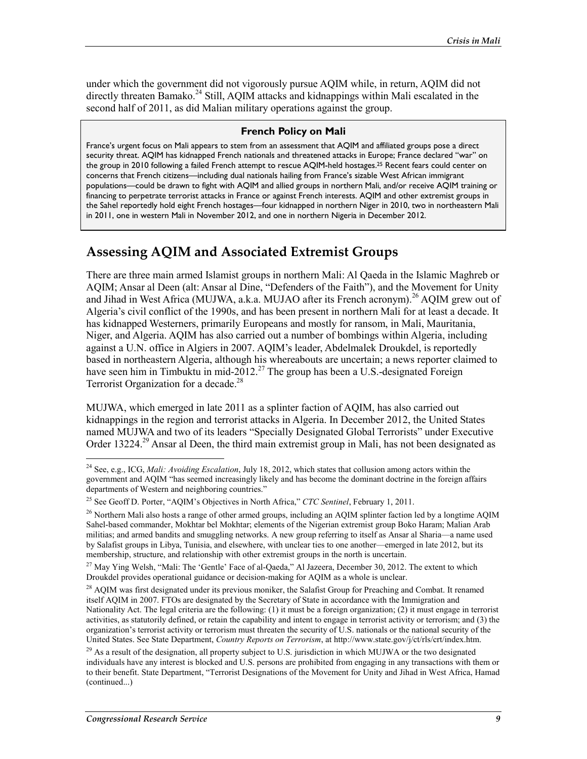under which the government did not vigorously pursue AQIM while, in return, AQIM did not directly threaten Bamako.<sup>24</sup> Still, AQIM attacks and kidnappings within Mali escalated in the second half of 2011, as did Malian military operations against the group.

#### **French Policy on Mali**

France's urgent focus on Mali appears to stem from an assessment that AQIM and affiliated groups pose a direct security threat. AQIM has kidnapped French nationals and threatened attacks in Europe; France declared "war" on the group in 2010 following a failed French attempt to rescue AQIM-held hostages.25 Recent fears could center on concerns that French citizens—including dual nationals hailing from France's sizable West African immigrant populations—could be drawn to fight with AQIM and allied groups in northern Mali, and/or receive AQIM training or financing to perpetrate terrorist attacks in France or against French interests. AQIM and other extremist groups in the Sahel reportedly hold eight French hostages—four kidnapped in northern Niger in 2010, two in northeastern Mali in 2011, one in western Mali in November 2012, and one in northern Nigeria in December 2012.

### **Assessing AQIM and Associated Extremist Groups**

There are three main armed Islamist groups in northern Mali: Al Qaeda in the Islamic Maghreb or AQIM; Ansar al Deen (alt: Ansar al Dine, "Defenders of the Faith"), and the Movement for Unity and Jihad in West Africa (MUJWA, a.k.a. MUJAO after its French acronym).<sup>26</sup> AQIM grew out of Algeria's civil conflict of the 1990s, and has been present in northern Mali for at least a decade. It has kidnapped Westerners, primarily Europeans and mostly for ransom, in Mali, Mauritania, Niger, and Algeria. AQIM has also carried out a number of bombings within Algeria, including against a U.N. office in Algiers in 2007. AQIM's leader, Abdelmalek Droukdel, is reportedly based in northeastern Algeria, although his whereabouts are uncertain; a news reporter claimed to have seen him in Timbuktu in mid-2012.<sup>27</sup> The group has been a U.S.-designated Foreign Terrorist Organization for a decade.<sup>28</sup>

MUJWA, which emerged in late 2011 as a splinter faction of AQIM, has also carried out kidnappings in the region and terrorist attacks in Algeria. In December 2012, the United States named MUJWA and two of its leaders "Specially Designated Global Terrorists" under Executive Order 13224.<sup>29</sup> Ansar al Deen, the third main extremist group in Mali, has not been designated as

<sup>24</sup> See, e.g., ICG, *Mali: Avoiding Escalation*, July 18, 2012, which states that collusion among actors within the government and AQIM "has seemed increasingly likely and has become the dominant doctrine in the foreign affairs departments of Western and neighboring countries."

<sup>25</sup> See Geoff D. Porter, "AQIM's Objectives in North Africa," *CTC Sentinel*, February 1, 2011.

 $^{26}$  Northern Mali also hosts a range of other armed groups, including an AQIM splinter faction led by a longtime AQIM Sahel-based commander, Mokhtar bel Mokhtar; elements of the Nigerian extremist group Boko Haram; Malian Arab militias; and armed bandits and smuggling networks. A new group referring to itself as Ansar al Sharia—a name used by Salafist groups in Libya, Tunisia, and elsewhere, with unclear ties to one another—emerged in late 2012, but its membership, structure, and relationship with other extremist groups in the north is uncertain.

<sup>&</sup>lt;sup>27</sup> Mav Ying Welsh, "Mali: The 'Gentle' Face of al-Qaeda," Al Jazeera, December 30, 2012. The extent to which Droukdel provides operational guidance or decision-making for AQIM as a whole is unclear.

<sup>&</sup>lt;sup>28</sup> AOIM was first designated under its previous moniker, the Salafist Group for Preaching and Combat. It renamed itself AQIM in 2007. FTOs are designated by the Secretary of State in accordance with the Immigration and Nationality Act. The legal criteria are the following: (1) it must be a foreign organization; (2) it must engage in terrorist activities, as statutorily defined, or retain the capability and intent to engage in terrorist activity or terrorism; and (3) the organization's terrorist activity or terrorism must threaten the security of U.S. nationals or the national security of the United States. See State Department, *Country Reports on Terrorism*, at http://www.state.gov/j/ct/rls/crt/index.htm.

<sup>&</sup>lt;sup>29</sup> As a result of the designation, all property subject to U.S. jurisdiction in which MUJWA or the two designated individuals have any interest is blocked and U.S. persons are prohibited from engaging in any transactions with them or to their benefit. State Department, "Terrorist Designations of the Movement for Unity and Jihad in West Africa, Hamad (continued...)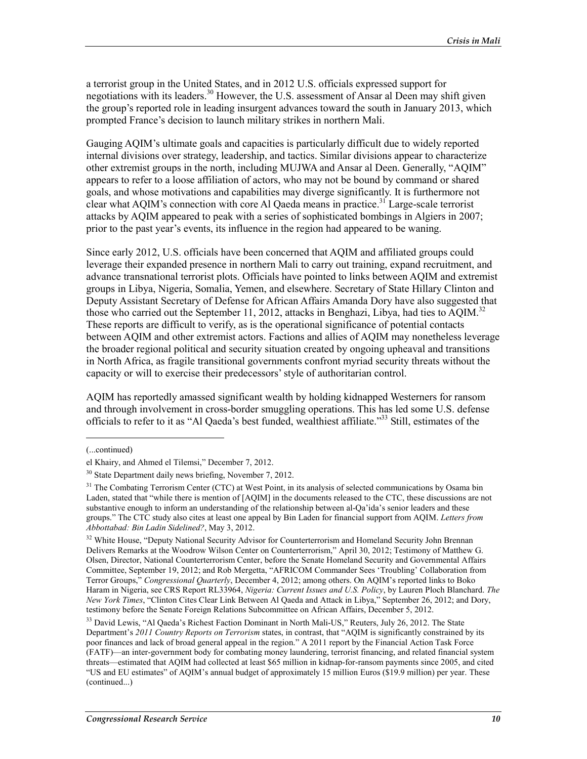a terrorist group in the United States, and in 2012 U.S. officials expressed support for negotiations with its leaders.<sup>30</sup> However, the U.S. assessment of Ansar al Deen may shift given the group's reported role in leading insurgent advances toward the south in January 2013, which prompted France's decision to launch military strikes in northern Mali.

Gauging AQIM's ultimate goals and capacities is particularly difficult due to widely reported internal divisions over strategy, leadership, and tactics. Similar divisions appear to characterize other extremist groups in the north, including MUJWA and Ansar al Deen. Generally, "AQIM" appears to refer to a loose affiliation of actors, who may not be bound by command or shared goals, and whose motivations and capabilities may diverge significantly. It is furthermore not clear what AQIM's connection with core Al Qaeda means in practice.<sup>31</sup> Large-scale terrorist attacks by AQIM appeared to peak with a series of sophisticated bombings in Algiers in 2007; prior to the past year's events, its influence in the region had appeared to be waning.

Since early 2012, U.S. officials have been concerned that AQIM and affiliated groups could leverage their expanded presence in northern Mali to carry out training, expand recruitment, and advance transnational terrorist plots. Officials have pointed to links between AQIM and extremist groups in Libya, Nigeria, Somalia, Yemen, and elsewhere. Secretary of State Hillary Clinton and Deputy Assistant Secretary of Defense for African Affairs Amanda Dory have also suggested that those who carried out the September 11, 2012, attacks in Benghazi, Libya, had ties to  $AOM$ .<sup>32</sup> These reports are difficult to verify, as is the operational significance of potential contacts between AQIM and other extremist actors. Factions and allies of AQIM may nonetheless leverage the broader regional political and security situation created by ongoing upheaval and transitions in North Africa, as fragile transitional governments confront myriad security threats without the capacity or will to exercise their predecessors' style of authoritarian control.

AQIM has reportedly amassed significant wealth by holding kidnapped Westerners for ransom and through involvement in cross-border smuggling operations. This has led some U.S. defense officials to refer to it as "Al Qaeda's best funded, wealthiest affiliate."33 Still, estimates of the

<sup>(...</sup>continued)

el Khairy, and Ahmed el Tilemsi," December 7, 2012.

<sup>&</sup>lt;sup>30</sup> State Department daily news briefing, November 7, 2012.

<sup>&</sup>lt;sup>31</sup> The Combating Terrorism Center (CTC) at West Point, in its analysis of selected communications by Osama bin Laden, stated that "while there is mention of [AQIM] in the documents released to the CTC, these discussions are not substantive enough to inform an understanding of the relationship between al-Qa'ida's senior leaders and these groups." The CTC study also cites at least one appeal by Bin Laden for financial support from AQIM. *Letters from Abbottabad: Bin Ladin Sidelined?*, May 3, 2012.

<sup>&</sup>lt;sup>32</sup> White House, "Deputy National Security Advisor for Counterterrorism and Homeland Security John Brennan Delivers Remarks at the Woodrow Wilson Center on Counterterrorism," April 30, 2012; Testimony of Matthew G. Olsen, Director, National Counterterrorism Center, before the Senate Homeland Security and Governmental Affairs Committee, September 19, 2012; and Rob Mergetta, "AFRICOM Commander Sees 'Troubling' Collaboration from Terror Groups," *Congressional Quarterly*, December 4, 2012; among others. On AQIM's reported links to Boko Haram in Nigeria, see CRS Report RL33964, *Nigeria: Current Issues and U.S. Policy*, by Lauren Ploch Blanchard. *The New York Times*, "Clinton Cites Clear Link Between Al Qaeda and Attack in Libya," September 26, 2012; and Dory, testimony before the Senate Foreign Relations Subcommittee on African Affairs, December 5, 2012.

<sup>&</sup>lt;sup>33</sup> David Lewis, "Al Qaeda's Richest Faction Dominant in North Mali-US," Reuters, July 26, 2012. The State Department's *2011 Country Reports on Terrorism* states, in contrast, that "AQIM is significantly constrained by its poor finances and lack of broad general appeal in the region." A 2011 report by the Financial Action Task Force (FATF)—an inter-government body for combating money laundering, terrorist financing, and related financial system threats—estimated that AQIM had collected at least \$65 million in kidnap-for-ransom payments since 2005, and cited "US and EU estimates" of AQIM's annual budget of approximately 15 million Euros (\$19.9 million) per year. These (continued...)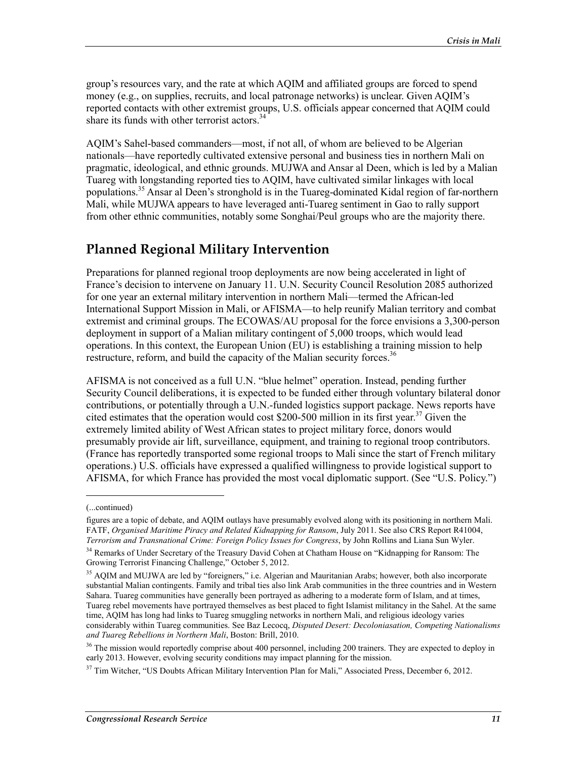group's resources vary, and the rate at which AQIM and affiliated groups are forced to spend money (e.g., on supplies, recruits, and local patronage networks) is unclear. Given AQIM's reported contacts with other extremist groups, U.S. officials appear concerned that AQIM could share its funds with other terrorist actors.<sup>34</sup>

AQIM's Sahel-based commanders—most, if not all, of whom are believed to be Algerian nationals—have reportedly cultivated extensive personal and business ties in northern Mali on pragmatic, ideological, and ethnic grounds. MUJWA and Ansar al Deen, which is led by a Malian Tuareg with longstanding reported ties to AQIM, have cultivated similar linkages with local populations.35 Ansar al Deen's stronghold is in the Tuareg-dominated Kidal region of far-northern Mali, while MUJWA appears to have leveraged anti-Tuareg sentiment in Gao to rally support from other ethnic communities, notably some Songhai/Peul groups who are the majority there.

### **Planned Regional Military Intervention**

Preparations for planned regional troop deployments are now being accelerated in light of France's decision to intervene on January 11. U.N. Security Council Resolution 2085 authorized for one year an external military intervention in northern Mali—termed the African-led International Support Mission in Mali, or AFISMA—to help reunify Malian territory and combat extremist and criminal groups. The ECOWAS/AU proposal for the force envisions a 3,300-person deployment in support of a Malian military contingent of 5,000 troops, which would lead operations. In this context, the European Union (EU) is establishing a training mission to help restructure, reform, and build the capacity of the Malian security forces.<sup>36</sup>

AFISMA is not conceived as a full U.N. "blue helmet" operation. Instead, pending further Security Council deliberations, it is expected to be funded either through voluntary bilateral donor contributions, or potentially through a U.N.-funded logistics support package. News reports have cited estimates that the operation would cost  $$200-500$  million in its first year.<sup>37</sup> Given the extremely limited ability of West African states to project military force, donors would presumably provide air lift, surveillance, equipment, and training to regional troop contributors. (France has reportedly transported some regional troops to Mali since the start of French military operations.) U.S. officials have expressed a qualified willingness to provide logistical support to AFISMA, for which France has provided the most vocal diplomatic support. (See "U.S. Policy.")

<sup>(...</sup>continued)

figures are a topic of debate, and AQIM outlays have presumably evolved along with its positioning in northern Mali. FATF, *Organised Maritime Piracy and Related Kidnapping for Ransom*, July 2011. See also CRS Report R41004, *Terrorism and Transnational Crime: Foreign Policy Issues for Congress*, by John Rollins and Liana Sun Wyler.

<sup>&</sup>lt;sup>34</sup> Remarks of Under Secretary of the Treasury David Cohen at Chatham House on "Kidnapping for Ransom: The Growing Terrorist Financing Challenge," October 5, 2012.

<sup>&</sup>lt;sup>35</sup> AQIM and MUJWA are led by "foreigners," i.e. Algerian and Mauritanian Arabs; however, both also incorporate substantial Malian contingents. Family and tribal ties also link Arab communities in the three countries and in Western Sahara. Tuareg communities have generally been portrayed as adhering to a moderate form of Islam, and at times, Tuareg rebel movements have portrayed themselves as best placed to fight Islamist militancy in the Sahel. At the same time, AQIM has long had links to Tuareg smuggling networks in northern Mali, and religious ideology varies considerably within Tuareg communities. See Baz Lecocq, *Disputed Desert: Decoloniasation, Competing Nationalisms and Tuareg Rebellions in Northern Mali*, Boston: Brill, 2010.

 $36$  The mission would reportedly comprise about 400 personnel, including 200 trainers. They are expected to deploy in early 2013. However, evolving security conditions may impact planning for the mission.

<sup>&</sup>lt;sup>37</sup> Tim Witcher, "US Doubts African Military Intervention Plan for Mali," Associated Press, December 6, 2012.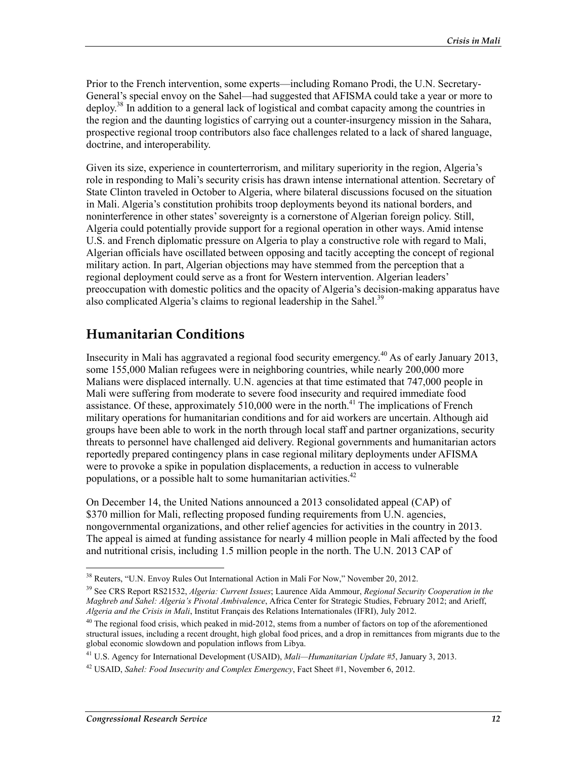Prior to the French intervention, some experts—including Romano Prodi, the U.N. Secretary-General's special envoy on the Sahel—had suggested that AFISMA could take a year or more to deploy.38 In addition to a general lack of logistical and combat capacity among the countries in the region and the daunting logistics of carrying out a counter-insurgency mission in the Sahara, prospective regional troop contributors also face challenges related to a lack of shared language, doctrine, and interoperability.

Given its size, experience in counterterrorism, and military superiority in the region, Algeria's role in responding to Mali's security crisis has drawn intense international attention. Secretary of State Clinton traveled in October to Algeria, where bilateral discussions focused on the situation in Mali. Algeria's constitution prohibits troop deployments beyond its national borders, and noninterference in other states' sovereignty is a cornerstone of Algerian foreign policy. Still, Algeria could potentially provide support for a regional operation in other ways. Amid intense U.S. and French diplomatic pressure on Algeria to play a constructive role with regard to Mali, Algerian officials have oscillated between opposing and tacitly accepting the concept of regional military action. In part, Algerian objections may have stemmed from the perception that a regional deployment could serve as a front for Western intervention. Algerian leaders' preoccupation with domestic politics and the opacity of Algeria's decision-making apparatus have also complicated Algeria's claims to regional leadership in the Sahel.<sup>39</sup>

## **Humanitarian Conditions**

Insecurity in Mali has aggravated a regional food security emergency.40 As of early January 2013, some 155,000 Malian refugees were in neighboring countries, while nearly 200,000 more Malians were displaced internally. U.N. agencies at that time estimated that 747,000 people in Mali were suffering from moderate to severe food insecurity and required immediate food assistance. Of these, approximately  $510,000$  were in the north.<sup>41</sup> The implications of French military operations for humanitarian conditions and for aid workers are uncertain. Although aid groups have been able to work in the north through local staff and partner organizations, security threats to personnel have challenged aid delivery. Regional governments and humanitarian actors reportedly prepared contingency plans in case regional military deployments under AFISMA were to provoke a spike in population displacements, a reduction in access to vulnerable populations, or a possible halt to some humanitarian activities.<sup>42</sup>

On December 14, the United Nations announced a 2013 consolidated appeal (CAP) of \$370 million for Mali, reflecting proposed funding requirements from U.N. agencies, nongovernmental organizations, and other relief agencies for activities in the country in 2013. The appeal is aimed at funding assistance for nearly 4 million people in Mali affected by the food and nutritional crisis, including 1.5 million people in the north. The U.N. 2013 CAP of

<sup>&</sup>lt;sup>38</sup> Reuters, "U.N. Envoy Rules Out International Action in Mali For Now," November 20, 2012.

<sup>39</sup> See CRS Report RS21532, *Algeria: Current Issues*; Laurence Aïda Ammour, *Regional Security Cooperation in the Maghreb and Sahel: Algeria's Pivotal Ambivalence*, Africa Center for Strategic Studies, February 2012; and Arieff, *Algeria and the Crisis in Mali*, Institut Français des Relations Internationales (IFRI), July 2012.

 $40$  The regional food crisis, which peaked in mid-2012, stems from a number of factors on top of the aforementioned structural issues, including a recent drought, high global food prices, and a drop in remittances from migrants due to the global economic slowdown and population inflows from Libya.

<sup>41</sup> U.S. Agency for International Development (USAID), *Mali—Humanitarian Update #5*, January 3, 2013.

<sup>42</sup> USAID, *Sahel: Food Insecurity and Complex Emergency*, Fact Sheet #1, November 6, 2012.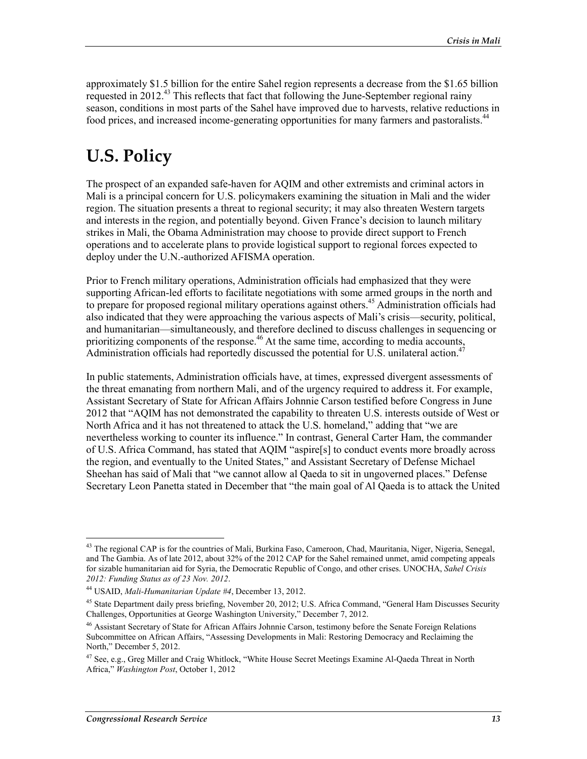approximately \$1.5 billion for the entire Sahel region represents a decrease from the \$1.65 billion requested in  $2012<sup>43</sup>$  This reflects that fact that following the June-September regional rainy season, conditions in most parts of the Sahel have improved due to harvests, relative reductions in food prices, and increased income-generating opportunities for many farmers and pastoralists.44

## **U.S. Policy**

The prospect of an expanded safe-haven for AQIM and other extremists and criminal actors in Mali is a principal concern for U.S. policymakers examining the situation in Mali and the wider region. The situation presents a threat to regional security; it may also threaten Western targets and interests in the region, and potentially beyond. Given France's decision to launch military strikes in Mali, the Obama Administration may choose to provide direct support to French operations and to accelerate plans to provide logistical support to regional forces expected to deploy under the U.N.-authorized AFISMA operation.

Prior to French military operations, Administration officials had emphasized that they were supporting African-led efforts to facilitate negotiations with some armed groups in the north and to prepare for proposed regional military operations against others.<sup>45</sup> Administration officials had also indicated that they were approaching the various aspects of Mali's crisis—security, political, and humanitarian—simultaneously, and therefore declined to discuss challenges in sequencing or prioritizing components of the response.<sup>46</sup> At the same time, according to media accounts, Administration officials had reportedly discussed the potential for U.S. unilateral action.<sup>47</sup>

In public statements, Administration officials have, at times, expressed divergent assessments of the threat emanating from northern Mali, and of the urgency required to address it. For example, Assistant Secretary of State for African Affairs Johnnie Carson testified before Congress in June 2012 that "AQIM has not demonstrated the capability to threaten U.S. interests outside of West or North Africa and it has not threatened to attack the U.S. homeland," adding that "we are nevertheless working to counter its influence." In contrast, General Carter Ham, the commander of U.S. Africa Command, has stated that AQIM "aspire[s] to conduct events more broadly across the region, and eventually to the United States," and Assistant Secretary of Defense Michael Sheehan has said of Mali that "we cannot allow al Qaeda to sit in ungoverned places." Defense Secretary Leon Panetta stated in December that "the main goal of Al Qaeda is to attack the United

<sup>&</sup>lt;sup>43</sup> The regional CAP is for the countries of Mali, Burkina Faso, Cameroon, Chad, Mauritania, Niger, Nigeria, Senegal, and The Gambia. As of late 2012, about 32% of the 2012 CAP for the Sahel remained unmet, amid competing appeals for sizable humanitarian aid for Syria, the Democratic Republic of Congo, and other crises. UNOCHA, *Sahel Crisis 2012: Funding Status as of 23 Nov. 2012*.

<sup>44</sup> USAID, *Mali-Humanitarian Update #4*, December 13, 2012.

<sup>&</sup>lt;sup>45</sup> State Department daily press briefing, November 20, 2012; U.S. Africa Command, "General Ham Discusses Security Challenges, Opportunities at George Washington University," December 7, 2012.

<sup>46</sup> Assistant Secretary of State for African Affairs Johnnie Carson, testimony before the Senate Foreign Relations Subcommittee on African Affairs, "Assessing Developments in Mali: Restoring Democracy and Reclaiming the North," December 5, 2012.

<sup>&</sup>lt;sup>47</sup> See, e.g., Greg Miller and Craig Whitlock, "White House Secret Meetings Examine Al-Qaeda Threat in North Africa," *Washington Post*, October 1, 2012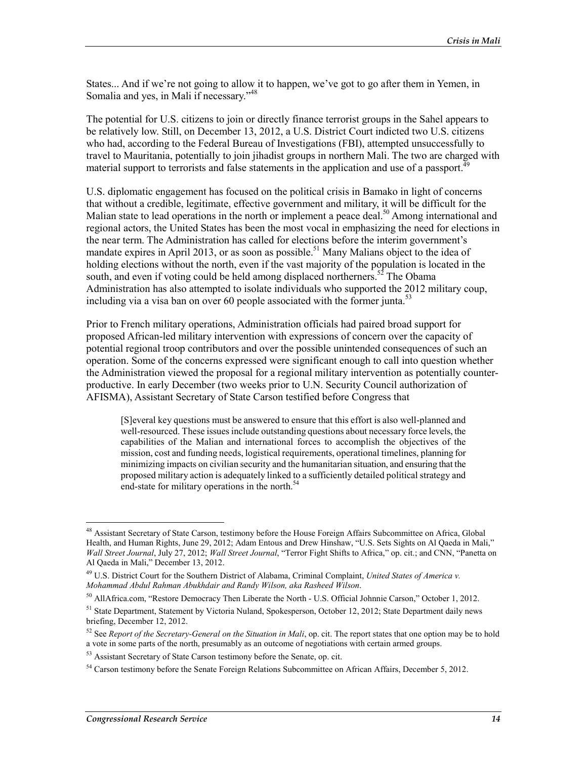States... And if we're not going to allow it to happen, we've got to go after them in Yemen, in Somalia and yes, in Mali if necessary."<sup>48</sup>

The potential for U.S. citizens to join or directly finance terrorist groups in the Sahel appears to be relatively low. Still, on December 13, 2012, a U.S. District Court indicted two U.S. citizens who had, according to the Federal Bureau of Investigations (FBI), attempted unsuccessfully to travel to Mauritania, potentially to join jihadist groups in northern Mali. The two are charged with material support to terrorists and false statements in the application and use of a passport.<sup>49</sup>

U.S. diplomatic engagement has focused on the political crisis in Bamako in light of concerns that without a credible, legitimate, effective government and military, it will be difficult for the Malian state to lead operations in the north or implement a peace deal.<sup>50</sup> Among international and regional actors, the United States has been the most vocal in emphasizing the need for elections in the near term. The Administration has called for elections before the interim government's mandate expires in April 2013, or as soon as possible.<sup>51</sup> Many Malians object to the idea of holding elections without the north, even if the vast majority of the population is located in the south, and even if voting could be held among displaced northerners.<sup>52</sup> The Obama Administration has also attempted to isolate individuals who supported the 2012 military coup, including via a visa ban on over 60 people associated with the former junta.<sup>53</sup>

Prior to French military operations, Administration officials had paired broad support for proposed African-led military intervention with expressions of concern over the capacity of potential regional troop contributors and over the possible unintended consequences of such an operation. Some of the concerns expressed were significant enough to call into question whether the Administration viewed the proposal for a regional military intervention as potentially counterproductive. In early December (two weeks prior to U.N. Security Council authorization of AFISMA), Assistant Secretary of State Carson testified before Congress that

[S]everal key questions must be answered to ensure that this effort is also well-planned and well-resourced. These issues include outstanding questions about necessary force levels, the capabilities of the Malian and international forces to accomplish the objectives of the mission, cost and funding needs, logistical requirements, operational timelines, planning for minimizing impacts on civilian security and the humanitarian situation, and ensuring that the proposed military action is adequately linked to a sufficiently detailed political strategy and end-state for military operations in the north.<sup>54</sup>

<u>.</u>

<sup>&</sup>lt;sup>48</sup> Assistant Secretary of State Carson, testimony before the House Foreign Affairs Subcommittee on Africa, Global Health, and Human Rights, June 29, 2012; Adam Entous and Drew Hinshaw, "U.S. Sets Sights on Al Qaeda in Mali," *Wall Street Journal*, July 27, 2012; *Wall Street Journal*, "Terror Fight Shifts to Africa," op. cit.; and CNN, "Panetta on Al Qaeda in Mali," December 13, 2012.

<sup>49</sup> U.S. District Court for the Southern District of Alabama, Criminal Complaint, *United States of America v. Mohammad Abdul Rahman Abukhdair and Randy Wilson, aka Rasheed Wilson*.

<sup>50</sup> AllAfrica.com, "Restore Democracy Then Liberate the North - U.S. Official Johnnie Carson," October 1, 2012.

<sup>&</sup>lt;sup>51</sup> State Department, Statement by Victoria Nuland, Spokesperson, October 12, 2012; State Department daily news briefing, December 12, 2012.

<sup>&</sup>lt;sup>52</sup> See *Report of the Secretary-General on the Situation in Mali*, op. cit. The report states that one option may be to hold a vote in some parts of the north, presumably as an outcome of negotiations with certain armed groups.

<sup>&</sup>lt;sup>53</sup> Assistant Secretary of State Carson testimony before the Senate, op. cit.

<sup>&</sup>lt;sup>54</sup> Carson testimony before the Senate Foreign Relations Subcommittee on African Affairs, December 5, 2012.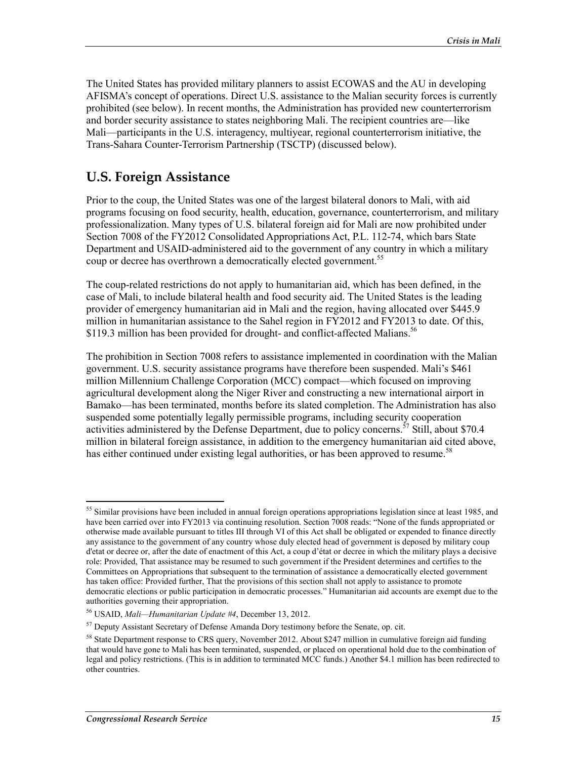The United States has provided military planners to assist ECOWAS and the AU in developing AFISMA's concept of operations. Direct U.S. assistance to the Malian security forces is currently prohibited (see below). In recent months, the Administration has provided new counterterrorism and border security assistance to states neighboring Mali. The recipient countries are—like Mali—participants in the U.S. interagency, multiyear, regional counterterrorism initiative, the Trans-Sahara Counter-Terrorism Partnership (TSCTP) (discussed below).

### **U.S. Foreign Assistance**

Prior to the coup, the United States was one of the largest bilateral donors to Mali, with aid programs focusing on food security, health, education, governance, counterterrorism, and military professionalization. Many types of U.S. bilateral foreign aid for Mali are now prohibited under Section 7008 of the FY2012 Consolidated Appropriations Act, P.L. 112-74, which bars State Department and USAID-administered aid to the government of any country in which a military coup or decree has overthrown a democratically elected government.<sup>55</sup>

The coup-related restrictions do not apply to humanitarian aid, which has been defined, in the case of Mali, to include bilateral health and food security aid. The United States is the leading provider of emergency humanitarian aid in Mali and the region, having allocated over \$445.9 million in humanitarian assistance to the Sahel region in FY2012 and FY2013 to date. Of this, \$119.3 million has been provided for drought- and conflict-affected Malians.<sup>56</sup>

The prohibition in Section 7008 refers to assistance implemented in coordination with the Malian government. U.S. security assistance programs have therefore been suspended. Mali's \$461 million Millennium Challenge Corporation (MCC) compact—which focused on improving agricultural development along the Niger River and constructing a new international airport in Bamako—has been terminated, months before its slated completion. The Administration has also suspended some potentially legally permissible programs, including security cooperation activities administered by the Defense Department, due to policy concerns.<sup>57</sup> Still, about \$70.4 million in bilateral foreign assistance, in addition to the emergency humanitarian aid cited above, has either continued under existing legal authorities, or has been approved to resume.<sup>58</sup>

<u>.</u>

<sup>&</sup>lt;sup>55</sup> Similar provisions have been included in annual foreign operations appropriations legislation since at least 1985, and have been carried over into FY2013 via continuing resolution. Section 7008 reads: "None of the funds appropriated or otherwise made available pursuant to titles III through VI of this Act shall be obligated or expended to finance directly any assistance to the government of any country whose duly elected head of government is deposed by military coup d'etat or decree or, after the date of enactment of this Act, a coup d'état or decree in which the military plays a decisive role: Provided, That assistance may be resumed to such government if the President determines and certifies to the Committees on Appropriations that subsequent to the termination of assistance a democratically elected government has taken office: Provided further, That the provisions of this section shall not apply to assistance to promote democratic elections or public participation in democratic processes." Humanitarian aid accounts are exempt due to the authorities governing their appropriation.

<sup>56</sup> USAID, *Mali—Humanitarian Update #4*, December 13, 2012.

<sup>&</sup>lt;sup>57</sup> Deputy Assistant Secretary of Defense Amanda Dory testimony before the Senate, op. cit.

<sup>&</sup>lt;sup>58</sup> State Department response to CRS query, November 2012. About \$247 million in cumulative foreign aid funding that would have gone to Mali has been terminated, suspended, or placed on operational hold due to the combination of legal and policy restrictions. (This is in addition to terminated MCC funds.) Another \$4.1 million has been redirected to other countries.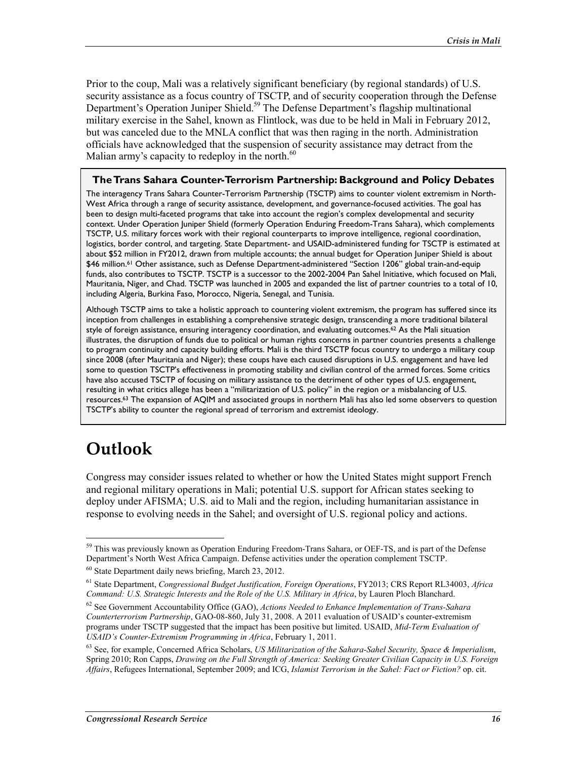Prior to the coup, Mali was a relatively significant beneficiary (by regional standards) of U.S. security assistance as a focus country of TSCTP, and of security cooperation through the Defense Department's Operation Juniper Shield.<sup>59</sup> The Defense Department's flagship multinational military exercise in the Sahel, known as Flintlock, was due to be held in Mali in February 2012, but was canceled due to the MNLA conflict that was then raging in the north. Administration officials have acknowledged that the suspension of security assistance may detract from the Malian army's capacity to redeploy in the north. $60$ 

#### **The Trans Sahara Counter-Terrorism Partnership: Background and Policy Debates**

The interagency Trans Sahara Counter-Terrorism Partnership (TSCTP) aims to counter violent extremism in North-West Africa through a range of security assistance, development, and governance-focused activities. The goal has been to design multi-faceted programs that take into account the region's complex developmental and security context. Under Operation Juniper Shield (formerly Operation Enduring Freedom-Trans Sahara), which complements TSCTP, U.S. military forces work with their regional counterparts to improve intelligence, regional coordination, logistics, border control, and targeting. State Department- and USAID-administered funding for TSCTP is estimated at about \$52 million in FY2012, drawn from multiple accounts; the annual budget for Operation Juniper Shield is about \$46 million.<sup>61</sup> Other assistance, such as Defense Department-administered "Section 1206" global train-and-equip funds, also contributes to TSCTP. TSCTP is a successor to the 2002-2004 Pan Sahel Initiative, which focused on Mali, Mauritania, Niger, and Chad. TSCTP was launched in 2005 and expanded the list of partner countries to a total of 10, including Algeria, Burkina Faso, Morocco, Nigeria, Senegal, and Tunisia.

Although TSCTP aims to take a holistic approach to countering violent extremism, the program has suffered since its inception from challenges in establishing a comprehensive strategic design, transcending a more traditional bilateral style of foreign assistance, ensuring interagency coordination, and evaluating outcomes.<sup>62</sup> As the Mali situation illustrates, the disruption of funds due to political or human rights concerns in partner countries presents a challenge to program continuity and capacity building efforts. Mali is the third TSCTP focus country to undergo a military coup since 2008 (after Mauritania and Niger); these coups have each caused disruptions in U.S. engagement and have led some to question TSCTP's effectiveness in promoting stability and civilian control of the armed forces. Some critics have also accused TSCTP of focusing on military assistance to the detriment of other types of U.S. engagement, resulting in what critics allege has been a "militarization of U.S. policy" in the region or a misbalancing of U.S. resources.63 The expansion of AQIM and associated groups in northern Mali has also led some observers to question TSCTP's ability to counter the regional spread of terrorism and extremist ideology.

## **Outlook**

1

Congress may consider issues related to whether or how the United States might support French and regional military operations in Mali; potential U.S. support for African states seeking to deploy under AFISMA; U.S. aid to Mali and the region, including humanitarian assistance in response to evolving needs in the Sahel; and oversight of U.S. regional policy and actions.

<sup>&</sup>lt;sup>59</sup> This was previously known as Operation Enduring Freedom-Trans Sahara, or OEF-TS, and is part of the Defense Department's North West Africa Campaign. Defense activities under the operation complement TSCTP.

<sup>60</sup> State Department daily news briefing, March 23, 2012.

<sup>61</sup> State Department, *Congressional Budget Justification, Foreign Operations*, FY2013; CRS Report RL34003, *Africa Command: U.S. Strategic Interests and the Role of the U.S. Military in Africa*, by Lauren Ploch Blanchard.

<sup>62</sup> See Government Accountability Office (GAO), *Actions Needed to Enhance Implementation of Trans-Sahara Counterterrorism Partnership*, GAO-08-860, July 31, 2008. A 2011 evaluation of USAID's counter-extremism programs under TSCTP suggested that the impact has been positive but limited. USAID, *Mid-Term Evaluation of USAID's Counter-Extremism Programming in Africa*, February 1, 2011.

<sup>63</sup> See, for example, Concerned Africa Scholars, *US Militarization of the Sahara-Sahel Security, Space & Imperialism*, Spring 2010; Ron Capps, *Drawing on the Full Strength of America: Seeking Greater Civilian Capacity in U.S. Foreign Affairs*, Refugees International, September 2009; and ICG, *Islamist Terrorism in the Sahel: Fact or Fiction?* op. cit.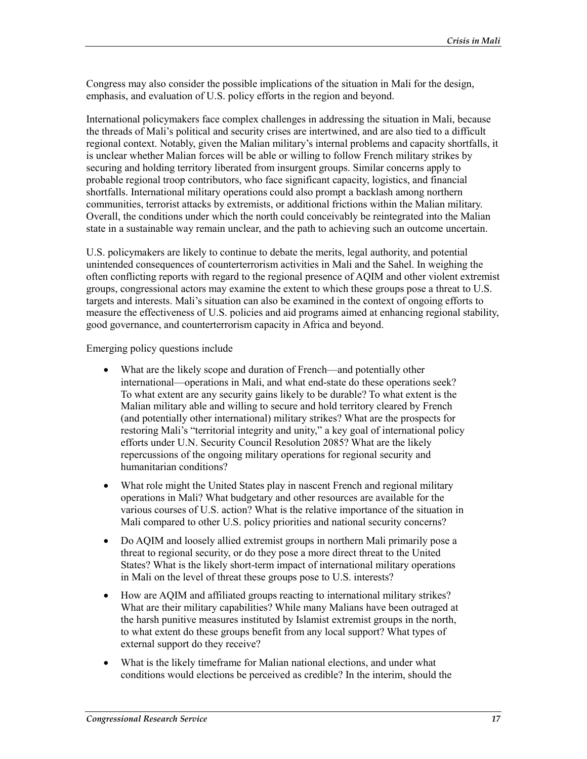Congress may also consider the possible implications of the situation in Mali for the design, emphasis, and evaluation of U.S. policy efforts in the region and beyond.

International policymakers face complex challenges in addressing the situation in Mali, because the threads of Mali's political and security crises are intertwined, and are also tied to a difficult regional context. Notably, given the Malian military's internal problems and capacity shortfalls, it is unclear whether Malian forces will be able or willing to follow French military strikes by securing and holding territory liberated from insurgent groups. Similar concerns apply to probable regional troop contributors, who face significant capacity, logistics, and financial shortfalls. International military operations could also prompt a backlash among northern communities, terrorist attacks by extremists, or additional frictions within the Malian military. Overall, the conditions under which the north could conceivably be reintegrated into the Malian state in a sustainable way remain unclear, and the path to achieving such an outcome uncertain.

U.S. policymakers are likely to continue to debate the merits, legal authority, and potential unintended consequences of counterterrorism activities in Mali and the Sahel. In weighing the often conflicting reports with regard to the regional presence of AQIM and other violent extremist groups, congressional actors may examine the extent to which these groups pose a threat to U.S. targets and interests. Mali's situation can also be examined in the context of ongoing efforts to measure the effectiveness of U.S. policies and aid programs aimed at enhancing regional stability, good governance, and counterterrorism capacity in Africa and beyond.

Emerging policy questions include

- What are the likely scope and duration of French—and potentially other international—operations in Mali, and what end-state do these operations seek? To what extent are any security gains likely to be durable? To what extent is the Malian military able and willing to secure and hold territory cleared by French (and potentially other international) military strikes? What are the prospects for restoring Mali's "territorial integrity and unity," a key goal of international policy efforts under U.N. Security Council Resolution 2085? What are the likely repercussions of the ongoing military operations for regional security and humanitarian conditions?
- What role might the United States play in nascent French and regional military operations in Mali? What budgetary and other resources are available for the various courses of U.S. action? What is the relative importance of the situation in Mali compared to other U.S. policy priorities and national security concerns?
- Do AQIM and loosely allied extremist groups in northern Mali primarily pose a threat to regional security, or do they pose a more direct threat to the United States? What is the likely short-term impact of international military operations in Mali on the level of threat these groups pose to U.S. interests?
- How are AQIM and affiliated groups reacting to international military strikes? What are their military capabilities? While many Malians have been outraged at the harsh punitive measures instituted by Islamist extremist groups in the north, to what extent do these groups benefit from any local support? What types of external support do they receive?
- What is the likely timeframe for Malian national elections, and under what conditions would elections be perceived as credible? In the interim, should the